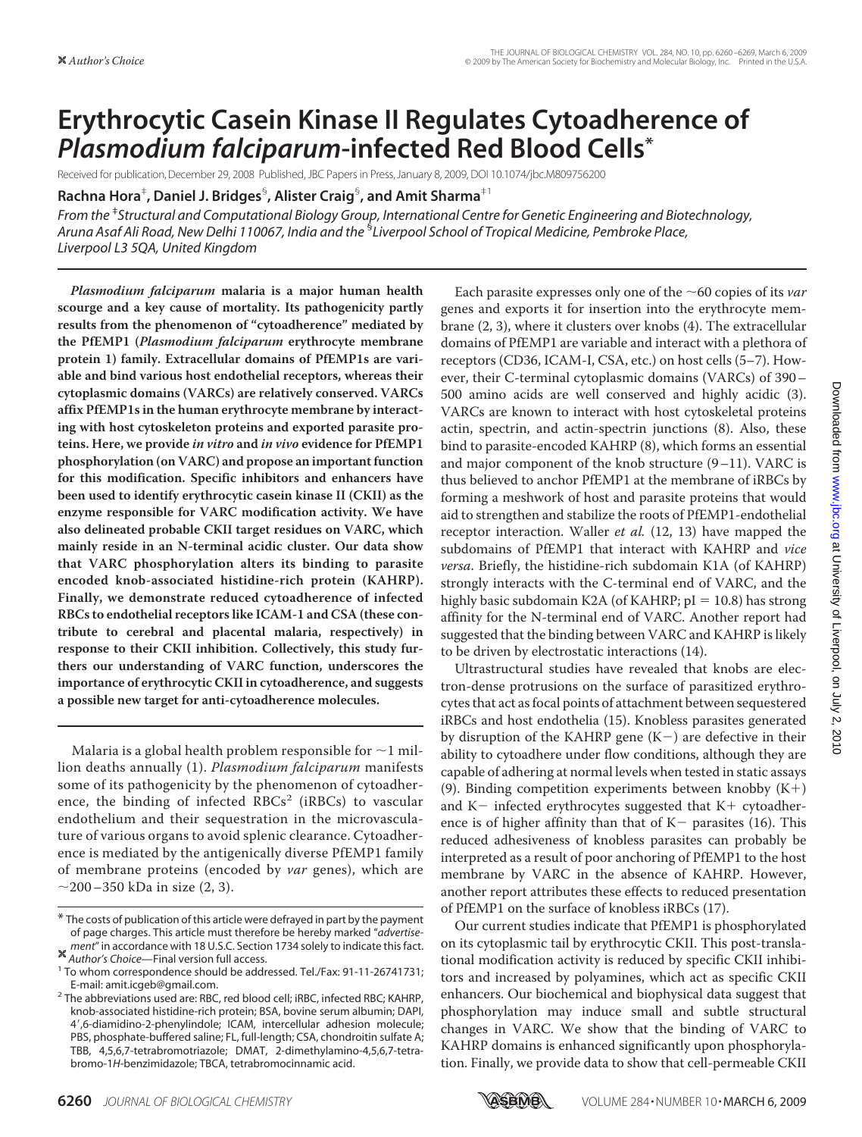# **Erythrocytic Casein Kinase II Regulates Cytoadherence of** *Plasmodium falciparum***-infected Red Blood Cells\***

Received for publication, December 29, 2008 Published, JBC Papers in Press, January 8, 2009, DOI 10.1074/jbc.M809756200

**Rachna Hora**‡ **, Daniel J. Bridges**§ **, Alister Craig**§ **, and Amit Sharma**‡1

*From the* ‡ *Structural and Computational Biology Group, International Centre for Genetic Engineering and Biotechnology, Aruna Asaf Ali Road, New Delhi 110067, India and the* § *Liverpool School of Tropical Medicine, Pembroke Place, Liverpool L3 5QA, United Kingdom*

*Plasmodium falciparum* **malaria is a major human health scourge and a key cause of mortality. Its pathogenicity partly results from the phenomenon of "cytoadherence" mediated by the PfEMP1 (***Plasmodium falciparum* **erythrocyte membrane protein 1) family. Extracellular domains of PfEMP1s are variable and bind various host endothelial receptors, whereas their cytoplasmic domains (VARCs) are relatively conserved. VARCs affix PfEMP1s in the human erythrocyte membrane by interacting with host cytoskeleton proteins and exported parasite proteins. Here, we provide** *in vitro* **and** *in vivo* **evidence for PfEMP1 phosphorylation (on VARC) and propose an important function for this modification. Specific inhibitors and enhancers have been used to identify erythrocytic casein kinase II (CKII) as the enzyme responsible for VARC modification activity. We have also delineated probable CKII target residues on VARC, which mainly reside in an N-terminal acidic cluster. Our data show that VARC phosphorylation alters its binding to parasite encoded knob-associated histidine-rich protein (KAHRP). Finally, we demonstrate reduced cytoadherence of infected RBCs to endothelial receptors like ICAM-1 and CSA (these contribute to cerebral and placental malaria, respectively) in response to their CKII inhibition. Collectively, this study furthers our understanding of VARC function, underscores the importance of erythrocytic CKII in cytoadherence, and suggests a possible new target for anti-cytoadherence molecules.**

Malaria is a global health problem responsible for  $\sim$ 1 million deaths annually (1). *Plasmodium falciparum* manifests some of its pathogenicity by the phenomenon of cytoadherence, the binding of infected  $RBCs<sup>2</sup>$  (iRBCs) to vascular endothelium and their sequestration in the microvasculature of various organs to avoid splenic clearance. Cytoadherence is mediated by the antigenically diverse PfEMP1 family of membrane proteins (encoded by *var* genes), which are  $\sim$ 200–350 kDa in size (2, 3).

Each parasite expresses only one of the  $\sim$  60 copies of its *var* genes and exports it for insertion into the erythrocyte membrane (2, 3), where it clusters over knobs (4). The extracellular domains of PfEMP1 are variable and interact with a plethora of receptors (CD36, ICAM-I, CSA, etc.) on host cells (5–7). However, their C-terminal cytoplasmic domains (VARCs) of 390– 500 amino acids are well conserved and highly acidic (3). VARCs are known to interact with host cytoskeletal proteins actin, spectrin, and actin-spectrin junctions (8). Also, these bind to parasite-encoded KAHRP (8), which forms an essential and major component of the knob structure  $(9-11)$ . VARC is thus believed to anchor PfEMP1 at the membrane of iRBCs by forming a meshwork of host and parasite proteins that would aid to strengthen and stabilize the roots of PfEMP1-endothelial receptor interaction. Waller *et al.* (12, 13) have mapped the subdomains of PfEMP1 that interact with KAHRP and *vice versa*. Briefly, the histidine-rich subdomain K1A (of KAHRP) strongly interacts with the C-terminal end of VARC, and the highly basic subdomain K2A (of KAHRP;  $pl = 10.8$ ) has strong affinity for the N-terminal end of VARC. Another report had suggested that the binding between VARC and KAHRP is likely to be driven by electrostatic interactions (14).

Ultrastructural studies have revealed that knobs are electron-dense protrusions on the surface of parasitized erythrocytes that act as focal points of attachment between sequestered iRBCs and host endothelia (15). Knobless parasites generated by disruption of the KAHRP gene  $(K-)$  are defective in their ability to cytoadhere under flow conditions, although they are capable of adhering at normal levels when tested in static assays (9). Binding competition experiments between knobby  $(K+)$ and  $K$  infected erythrocytes suggested that  $K$  cytoadherence is of higher affinity than that of  $K-$  parasites (16). This reduced adhesiveness of knobless parasites can probably be interpreted as a result of poor anchoring of PfEMP1 to the host membrane by VARC in the absence of KAHRP. However, another report attributes these effects to reduced presentation of PfEMP1 on the surface of knobless iRBCs (17).

Our current studies indicate that PfEMP1 is phosphorylated on its cytoplasmic tail by erythrocytic CKII. This post-translational modification activity is reduced by specific CKII inhibitors and increased by polyamines, which act as specific CKII enhancers. Our biochemical and biophysical data suggest that phosphorylation may induce small and subtle structural changes in VARC. We show that the binding of VARC to KAHRP domains is enhanced significantly upon phosphorylation. Finally, we provide data to show that cell-permeable CKII



<sup>\*</sup> The costs of publication of this article were defrayed in part by the payment of page charges. This article must therefore be hereby marked "*advertisement*<sup>"</sup> in accordance with 18 U.S.C. Section 1734 solely to indicate this fact.<br><sup>36</sup> Author's Choice—Final version full access.

<sup>&</sup>lt;sup>1</sup> To whom correspondence should be addressed. Tel./Fax: 91-11-26741731;

E-mail: amit.icgeb@gmail.com. <sup>2</sup> The abbreviations used are: RBC, red blood cell; iRBC, infected RBC; KAHRP, knob-associated histidine-rich protein; BSA, bovine serum albumin; DAPI, 4,6-diamidino-2-phenylindole; ICAM, intercellular adhesion molecule; PBS, phosphate-buffered saline; FL, full-length; CSA, chondroitin sulfate A; TBB, 4,5,6,7-tetrabromotriazole; DMAT, 2-dimethylamino-4,5,6,7-tetrabromo-1*H*-benzimidazole; TBCA, tetrabromocinnamic acid.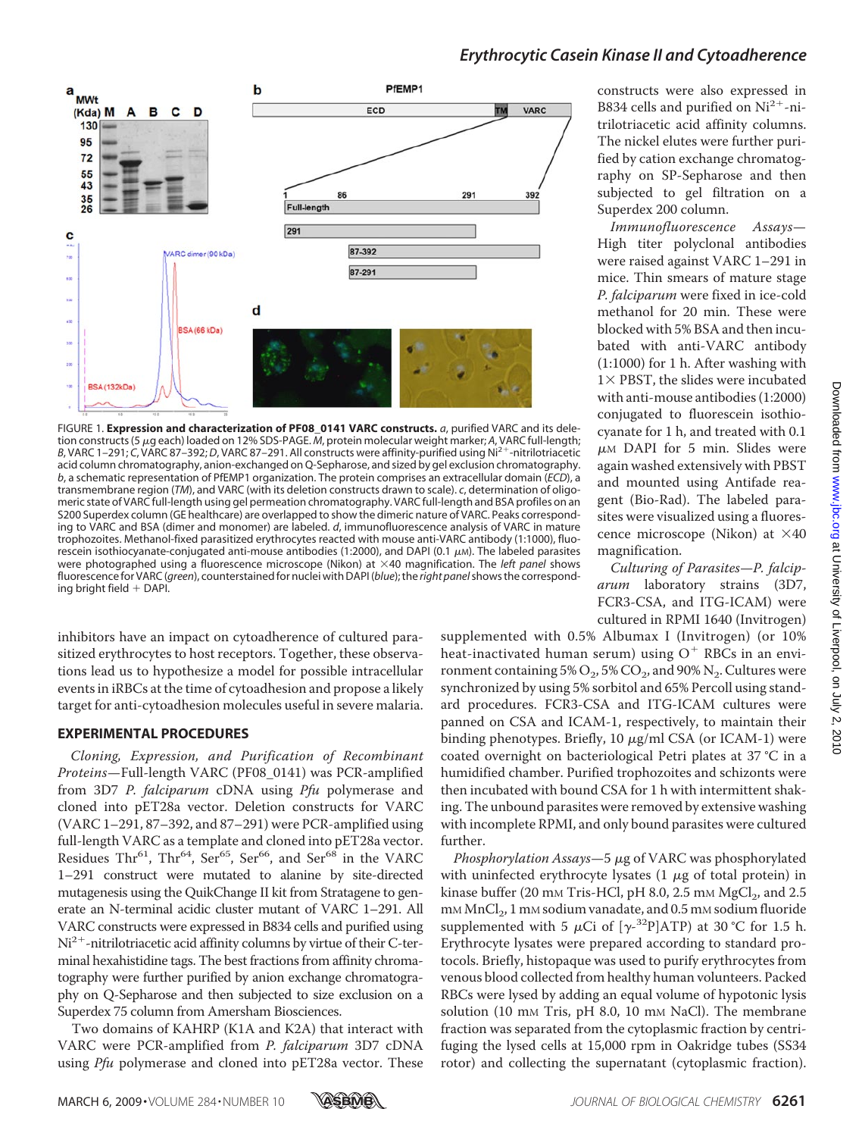

FIGURE 1. **Expression and characterization of PF08\_0141 VARC constructs.** *a*, purified VARC and its deletion constructs (5 µg each) loaded on 12% SDS-PAGE. M, protein molecular weight marker; A, VARC full-length; *B*, VARC 1-291; *C*, VARC 87-392; *D*, VARC 87-291. All constructs were affinity-purified using Ni<sup>2+</sup>-nitrilotriacetic acid column chromatography, anion-exchanged on Q-Sepharose, and sized by gel exclusion chromatography. *b*, a schematic representation of PfEMP1 organization. The protein comprises an extracellular domain (*ECD*), a transmembrane region (*TM*), and VARC (with its deletion constructs drawn to scale). *c*, determination of oligomeric state of VARC full-length using gel permeation chromatography. VARC full-length and BSA profiles on an S200 Superdex column (GE healthcare) are overlapped to show the dimeric nature of VARC. Peaks corresponding to VARC and BSA (dimer and monomer) are labeled. *d*, immunofluorescence analysis of VARC in mature trophozoites. Methanol-fixed parasitized erythrocytes reacted with mouse anti-VARC antibody (1:1000), fluorescein isothiocyanate-conjugated anti-mouse antibodies (1:2000), and DAPI (0.1  $\mu$ m). The labeled parasites were photographed using a fluorescence microscope (Nikon) at ×40 magnification. The *left panel* shows fluorescencefor VARC (*green*), counterstainedfor nuclei with DAPI (*blue*); the *right panel*shows the corresponding bright field  $+$  DAPI.

inhibitors have an impact on cytoadherence of cultured parasitized erythrocytes to host receptors. Together, these observations lead us to hypothesize a model for possible intracellular events in iRBCs at the time of cytoadhesion and propose a likely target for anti-cytoadhesion molecules useful in severe malaria.

#### **EXPERIMENTAL PROCEDURES**

*Cloning, Expression, and Purification of Recombinant Proteins*—Full-length VARC (PF08\_0141) was PCR-amplified from 3D7 *P. falciparum* cDNA using *Pfu* polymerase and cloned into pET28a vector. Deletion constructs for VARC (VARC 1–291, 87–392, and 87–291) were PCR-amplified using full-length VARC as a template and cloned into pET28a vector. Residues Thr<sup>61</sup>, Thr<sup>64</sup>, Ser<sup>65</sup>, Ser<sup>66</sup>, and Ser<sup>68</sup> in the VARC 1–291 construct were mutated to alanine by site-directed mutagenesis using the QuikChange II kit from Stratagene to generate an N-terminal acidic cluster mutant of VARC 1–291. All VARC constructs were expressed in B834 cells and purified using  $Ni<sup>2+</sup>$ -nitrilotriacetic acid affinity columns by virtue of their C-terminal hexahistidine tags. The best fractions from affinity chromatography were further purified by anion exchange chromatography on Q-Sepharose and then subjected to size exclusion on a Superdex 75 column from Amersham Biosciences.

Two domains of KAHRP (K1A and K2A) that interact with VARC were PCR-amplified from *P. falciparum* 3D7 cDNA using *Pfu* polymerase and cloned into pET28a vector. These

constructs were also expressed in B834 cells and purified on  $Ni<sup>2+</sup>$ -nitrilotriacetic acid affinity columns. The nickel elutes were further purified by cation exchange chromatography on SP-Sepharose and then subjected to gel filtration on a Superdex 200 column.

*Immunofluorescence Assays*— High titer polyclonal antibodies were raised against VARC 1–291 in mice. Thin smears of mature stage *P. falciparum* were fixed in ice-cold methanol for 20 min. These were blocked with 5% BSA and then incubated with anti-VARC antibody (1:1000) for 1 h. After washing with  $1 \times$  PBST, the slides were incubated with anti-mouse antibodies (1:2000) conjugated to fluorescein isothiocyanate for 1 h, and treated with 0.1  $\mu$ M DAPI for 5 min. Slides were again washed extensively with PBST and mounted using Antifade reagent (Bio-Rad). The labeled parasites were visualized using a fluorescence microscope (Nikon) at  $\times$ 40 magnification.

*Culturing of Parasites*—*P. falciparum* laboratory strains (3D7, FCR3-CSA, and ITG-ICAM) were cultured in RPMI 1640 (Invitrogen)

supplemented with 0.5% Albumax I (Invitrogen) (or 10% heat-inactivated human serum) using  $O<sup>+</sup>$  RBCs in an environment containing 5%  $O_2$ , 5%  $CO_2$ , and 90%  $N_2$ . Cultures were synchronized by using 5% sorbitol and 65% Percoll using standard procedures. FCR3-CSA and ITG-ICAM cultures were panned on CSA and ICAM-1, respectively, to maintain their binding phenotypes. Briefly, 10  $\mu$ g/ml CSA (or ICAM-1) were coated overnight on bacteriological Petri plates at 37 °C in a humidified chamber. Purified trophozoites and schizonts were then incubated with bound CSA for 1 h with intermittent shaking. The unbound parasites were removed by extensive washing with incomplete RPMI, and only bound parasites were cultured further.

*Phosphorylation Assays*—5  $\mu$ g of VARC was phosphorylated with uninfected erythrocyte lysates  $(1 \mu g)$  of total protein) in kinase buffer (20 mm Tris-HCl, pH 8.0, 2.5 mm  $MgCl<sub>2</sub>$ , and 2.5 mM MnCl<sub>2</sub>, 1 mM sodium vanadate, and 0.5 mM sodium fluoride supplemented with 5  $\mu$ Ci of [ $\gamma$ -<sup>32</sup>P]ATP) at 30 °C for 1.5 h. Erythrocyte lysates were prepared according to standard protocols. Briefly, histopaque was used to purify erythrocytes from venous blood collected from healthy human volunteers. Packed RBCs were lysed by adding an equal volume of hypotonic lysis solution (10 mm Tris, pH 8.0, 10 mm NaCl). The membrane fraction was separated from the cytoplasmic fraction by centrifuging the lysed cells at 15,000 rpm in Oakridge tubes (SS34 rotor) and collecting the supernatant (cytoplasmic fraction).

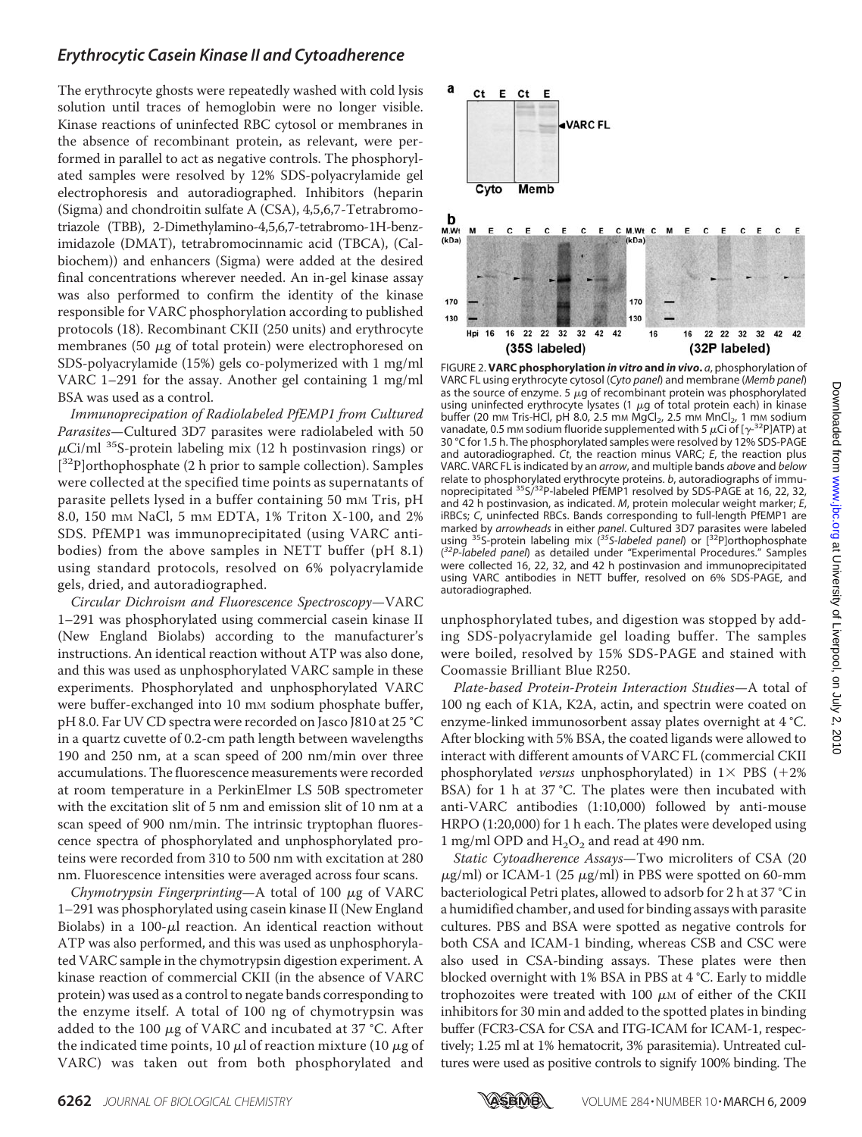The erythrocyte ghosts were repeatedly washed with cold lysis solution until traces of hemoglobin were no longer visible. Kinase reactions of uninfected RBC cytosol or membranes in the absence of recombinant protein, as relevant, were performed in parallel to act as negative controls. The phosphorylated samples were resolved by 12% SDS-polyacrylamide gel electrophoresis and autoradiographed. Inhibitors (heparin (Sigma) and chondroitin sulfate A (CSA), 4,5,6,7-Tetrabromotriazole (TBB), 2-Dimethylamino-4,5,6,7-tetrabromo-1H-benzimidazole (DMAT), tetrabromocinnamic acid (TBCA), (Calbiochem)) and enhancers (Sigma) were added at the desired final concentrations wherever needed. An in-gel kinase assay was also performed to confirm the identity of the kinase responsible for VARC phosphorylation according to published protocols (18). Recombinant CKII (250 units) and erythrocyte membranes (50  $\mu$ g of total protein) were electrophoresed on SDS-polyacrylamide (15%) gels co-polymerized with 1 mg/ml VARC 1–291 for the assay. Another gel containing 1 mg/ml BSA was used as a control.

*Immunoprecipation of Radiolabeled PfEMP1 from Cultured Parasites*—Cultured 3D7 parasites were radiolabeled with 50  $\mu$ Ci/ml <sup>35</sup>S-protein labeling mix (12 h postinvasion rings) or [<sup>32</sup>P]orthophosphate (2 h prior to sample collection). Samples were collected at the specified time points as supernatants of parasite pellets lysed in a buffer containing 50 mm Tris, pH 8.0, 150 mm NaCl, 5 mm EDTA, 1% Triton X-100, and 2% SDS. PfEMP1 was immunoprecipitated (using VARC antibodies) from the above samples in NETT buffer (pH 8.1) using standard protocols, resolved on 6% polyacrylamide gels, dried, and autoradiographed.

*Circular Dichroism and Fluorescence Spectroscopy*—VARC 1–291 was phosphorylated using commercial casein kinase II (New England Biolabs) according to the manufacturer's instructions. An identical reaction without ATP was also done, and this was used as unphosphorylated VARC sample in these experiments. Phosphorylated and unphosphorylated VARC were buffer-exchanged into 10 mm sodium phosphate buffer, pH 8.0. Far UV CD spectra were recorded on Jasco J810 at 25 °C in a quartz cuvette of 0.2-cm path length between wavelengths 190 and 250 nm, at a scan speed of 200 nm/min over three accumulations. The fluorescence measurements were recorded at room temperature in a PerkinElmer LS 50B spectrometer with the excitation slit of 5 nm and emission slit of 10 nm at a scan speed of 900 nm/min. The intrinsic tryptophan fluorescence spectra of phosphorylated and unphosphorylated proteins were recorded from 310 to 500 nm with excitation at 280 nm. Fluorescence intensities were averaged across four scans.

*Chymotrypsin Fingerprinting*—A total of  $100 \mu$ g of VARC 1–291 was phosphorylated using casein kinase II (New England Biolabs) in a  $100-\mu l$  reaction. An identical reaction without ATP was also performed, and this was used as unphosphorylated VARC sample in the chymotrypsin digestion experiment. A kinase reaction of commercial CKII (in the absence of VARC protein) was used as a control to negate bands corresponding to the enzyme itself. A total of 100 ng of chymotrypsin was added to the 100  $\mu$ g of VARC and incubated at 37 °C. After the indicated time points, 10  $\mu$ l of reaction mixture (10  $\mu$ g of VARC) was taken out from both phosphorylated and



FIGURE 2. **VARC phosphorylation** *in vitro* **and** *in vivo***.** *a*, phosphorylation of VARC FL using erythrocyte cytosol (*Cyto panel*) and membrane (*Memb panel*) as the source of enzyme. 5  $\mu$ g of recombinant protein was phosphorylated using uninfected erythrocyte lysates (1  $\mu$ g of total protein each) in kinase buffer (20 mm Tris-HCl, pH 8.0, 2.5 mm MgCl<sub>2</sub>, 2.5 mm MnCl<sub>2</sub>, 1 mm sodium vanadate, 0.5 mm sodium fluoride supplemented with 5  $\mu$ Ci of [ $\gamma$ -<sup>32</sup>P]ATP) at 30 °C for 1.5 h. The phosphorylated samples were resolved by 12% SDS-PAGE and autoradiographed. *Ct*, the reaction minus VARC; *E*, the reaction plus VARC. VARC FL is indicated by an *arrow*, and multiple bands *above* and *below* relate to phosphorylated erythrocyte proteins. *b*, autoradiographs of immunoprecipitated <sup>35</sup>S/<sup>32</sup>P-labeled PfEMP1 resolved by SDS-PAGE at 16, 22, 32, and 42 h postinvasion, as indicated. *M*, protein molecular weight marker; *E*, iRBCs; *C*, uninfected RBCs. Bands corresponding to full-length PfEMP1 are marked by *arrowheads* in either *panel*. Cultured 3D7 parasites were labeled using 35S-protein labeling mix (*35S-labeled panel*) or [32P]orthophosphate ( *32P-labeled panel*) as detailed under "Experimental Procedures." Samples were collected 16, 22, 32, and 42 h postinvasion and immunoprecipitated using VARC antibodies in NETT buffer, resolved on 6% SDS-PAGE, and autoradiographed.

unphosphorylated tubes, and digestion was stopped by adding SDS-polyacrylamide gel loading buffer. The samples were boiled, resolved by 15% SDS-PAGE and stained with Coomassie Brilliant Blue R250.

*Plate-based Protein-Protein Interaction Studies*—A total of 100 ng each of K1A, K2A, actin, and spectrin were coated on enzyme-linked immunosorbent assay plates overnight at 4 °C. After blocking with 5% BSA, the coated ligands were allowed to interact with different amounts of VARC FL (commercial CKII phosphorylated *versus* unphosphorylated) in  $1 \times PBS$  (+2%) BSA) for 1 h at 37 °C. The plates were then incubated with anti-VARC antibodies (1:10,000) followed by anti-mouse HRPO (1:20,000) for 1 h each. The plates were developed using 1 mg/ml OPD and  $H_2O_2$  and read at 490 nm.

*Static Cytoadherence Assays*—Two microliters of CSA (20  $\mu$ g/ml) or ICAM-1 (25  $\mu$ g/ml) in PBS were spotted on 60-mm bacteriological Petri plates, allowed to adsorb for 2 h at 37 °C in a humidified chamber, and used for binding assays with parasite cultures. PBS and BSA were spotted as negative controls for both CSA and ICAM-1 binding, whereas CSB and CSC were also used in CSA-binding assays. These plates were then blocked overnight with 1% BSA in PBS at 4 °C. Early to middle trophozoites were treated with 100  $\mu$ M of either of the CKII inhibitors for 30 min and added to the spotted plates in binding buffer (FCR3-CSA for CSA and ITG-ICAM for ICAM-1, respectively; 1.25 ml at 1% hematocrit, 3% parasitemia). Untreated cultures were used as positive controls to signify 100% binding. The

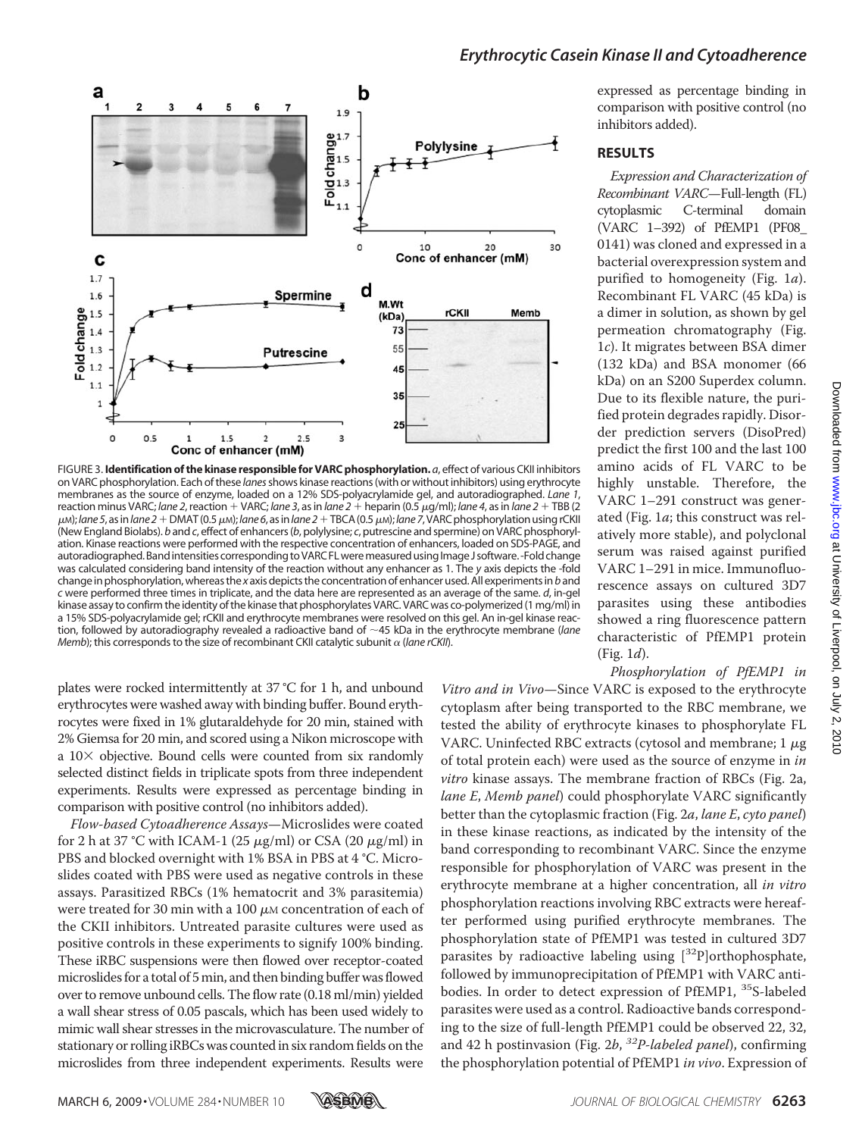

FIGURE 3. **Identification of the kinase responsible for VARC phosphorylation.** *a*, effect of various CKII inhibitors on VARC phosphorylation. Each of these *lanes*shows kinase reactions (with or without inhibitors) using erythrocyte membranes as the source of enzyme, loaded on a 12% SDS-polyacrylamide gel, and autoradiographed. *Lane 1*, reaction minus VARC; *lane 2*, reaction VARC; *lane 3*, as in *lane 2* heparin (0.5g/ml); *lane 4*, as in *lane 2* TBB (2  $\mu$ M); lane 5, as in lane 2 + DMAT (0.5  $\mu$ M); lane 6, as in lane 2 + TBCA (0.5  $\mu$ M); lane 7, VARC phosphorylation using rCKII (New England Biolabs). *b* and *c*, effect of enhancers (*b*, polylysine; *c*, putrescine and spermine) on VARC phosphorylation. Kinase reactions were performed with the respective concentration of enhancers, loaded on SDS-PAGE, and autoradiographed. Band intensities corresponding to VARC FL were measured using Image J software. -Fold change was calculated considering band intensity of the reaction without any enhancer as 1. The *y* axis depicts the -fold change in phosphorylation, whereas the *x* axis depicts the concentration of enhancer used. All experiments in*b*and *c* were performed three times in triplicate, and the data here are represented as an average of the same. *d*, in-gel kinase assay to confirm the identity of the kinase that phosphorylates VARC. VARC was co-polymerized (1 mg/ml) in a 15% SDS-polyacrylamide gel; rCKII and erythrocyte membranes were resolved on this gel. An in-gel kinase reaction, followed by autoradiography revealed a radioactive band of ~45 kDa in the erythrocyte membrane (*lane Memb*); this corresponds to the size of recombinant CKII catalytic subunit  $\alpha$  (*lane rCKII*).

plates were rocked intermittently at 37 °C for 1 h, and unbound erythrocytes were washed away with binding buffer. Bound erythrocytes were fixed in 1% glutaraldehyde for 20 min, stained with 2% Giemsa for 20 min, and scored using a Nikon microscope with a  $10\times$  objective. Bound cells were counted from six randomly selected distinct fields in triplicate spots from three independent experiments. Results were expressed as percentage binding in comparison with positive control (no inhibitors added).

*Flow-based Cytoadherence Assays*—Microslides were coated for 2 h at 37 °C with ICAM-1 (25  $\mu$ g/ml) or CSA (20  $\mu$ g/ml) in PBS and blocked overnight with 1% BSA in PBS at 4 °C. Microslides coated with PBS were used as negative controls in these assays. Parasitized RBCs (1% hematocrit and 3% parasitemia) were treated for 30 min with a 100  $\mu$ M concentration of each of the CKII inhibitors. Untreated parasite cultures were used as positive controls in these experiments to signify 100% binding. These iRBC suspensions were then flowed over receptor-coated microslides for a total of 5min, and then binding buffer was flowed over to remove unbound cells. The flow rate (0.18 ml/min) yielded a wall shear stress of 0.05 pascals, which has been used widely to mimic wall shear stresses in the microvasculature. The number of stationary or rolling iRBCs was counted in six random fields on the microslides from three independent experiments. Results were

expressed as percentage binding in comparison with positive control (no inhibitors added).

#### **RESULTS**

*Expression and Characterization of Recombinant VARC*—Full-length (FL) cytoplasmic C-terminal domain (VARC 1–392) of PfEMP1 (PF08\_ 0141) was cloned and expressed in a bacterial overexpression system and purified to homogeneity (Fig. 1*a*). Recombinant FL VARC (45 kDa) is a dimer in solution, as shown by gel permeation chromatography (Fig. 1*c*). It migrates between BSA dimer (132 kDa) and BSA monomer (66 kDa) on an S200 Superdex column. Due to its flexible nature, the purified protein degrades rapidly. Disorder prediction servers (DisoPred) predict the first 100 and the last 100 amino acids of FL VARC to be highly unstable. Therefore, the VARC 1–291 construct was generated (Fig. 1*a*; this construct was relatively more stable), and polyclonal serum was raised against purified VARC 1–291 in mice. Immunofluorescence assays on cultured 3D7 parasites using these antibodies showed a ring fluorescence pattern characteristic of PfEMP1 protein (Fig. 1*d*).

*Phosphorylation of PfEMP1 in*

*Vitro and in Vivo*—Since VARC is exposed to the erythrocyte cytoplasm after being transported to the RBC membrane, we tested the ability of erythrocyte kinases to phosphorylate FL VARC. Uninfected RBC extracts (cytosol and membrane;  $1 \mu$ g of total protein each) were used as the source of enzyme in *in vitro* kinase assays. The membrane fraction of RBCs (Fig. 2a, *lane E*, *Memb panel*) could phosphorylate VARC significantly better than the cytoplasmic fraction (Fig. 2*a*, *lane E*, *cyto panel*) in these kinase reactions, as indicated by the intensity of the band corresponding to recombinant VARC. Since the enzyme responsible for phosphorylation of VARC was present in the erythrocyte membrane at a higher concentration, all *in vitro* phosphorylation reactions involving RBC extracts were hereafter performed using purified erythrocyte membranes. The phosphorylation state of PfEMP1 was tested in cultured 3D7 parasites by radioactive labeling using  $[32P]$ orthophosphate, followed by immunoprecipitation of PfEMP1 with VARC antibodies. In order to detect expression of PfEMP1, 35S-labeled parasites were used as a control. Radioactive bands corresponding to the size of full-length PfEMP1 could be observed 22, 32, and 42 h postinvasion (Fig. 2*b*, *32P-labeled panel*), confirming the phosphorylation potential of PfEMP1 *in vivo*. Expression of

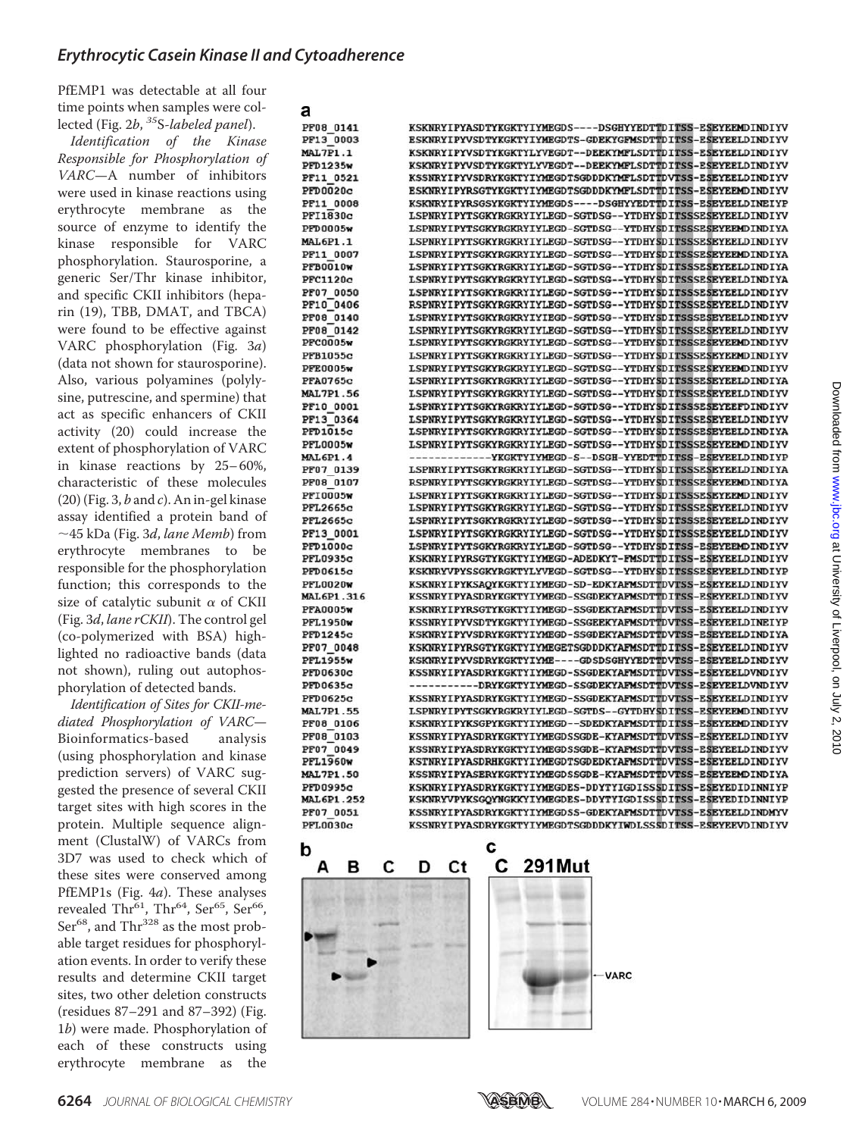a

PfEMP1 was detectable at all four time points when samples were collected (Fig. 2*b*, *<sup>35</sup>*S*-labeled panel*).

*Identification of the Kinase Responsible for Phosphorylation of VARC*—A number of inhibitors were used in kinase reactions using erythrocyte membrane as the source of enzyme to identify the kinase responsible for VARC phosphorylation. Staurosporine, a generic Ser/Thr kinase inhibitor, and specific CKII inhibitors (heparin (19), TBB, DMAT, and TBCA) were found to be effective against VARC phosphorylation (Fig. 3 *a* ) (data not shown for staurosporine). Also, various polyamines (polylysine, putrescine, and spermine) that act as specific enhancers of CKII activity (20) could increase the extent of phosphorylation of VARC in kinase reactions by 25– 60%, characteristic of these molecules (20) (Fig. 3, *b* and *c*). An in-gel kinase assay identified a protein band of 45 kDa (Fig. 3*d*, *lane Memb*) from erythrocyte membranes to be responsible for the phosphorylation function; this corresponds to the size of catalytic subunit  $\alpha$  of CKII (Fig. 3 *d* , *lane rCKII*). The control gel (co-polymerized with BSA) highlighted no radioactive bands (data not shown), ruling out autophosphorylation of detected bands.

*Identification of Sites for CKII-mediated Phosphorylation of VARC*— Bioinformatics-based analysis (using phosphorylation and kinase prediction servers) of VARC suggested the presence of several CKII target sites with high scores in the protein. Multiple sequence alignment (ClustalW) of VARCs from 3D7 was used to check which of these sites were conserved among PfEMP1s (Fig. 4 *a*). These analyses revealed Thr<sup>61</sup>, Thr<sup>64</sup>, Ser<sup>65</sup>, Ser<sup>66</sup>, Ser<sup>68</sup>, and Thr<sup>328</sup> as the most probable target residues for phosphorylation events. In order to verify these results and determine CKII target sites, two other deletion constructs (residues 87–291 and 87–392) (Fig. 1*b*) were made. Phosphorylation of each of these constructs using erythrocyte membrane as the

| a                           |                                                                                                                              |
|-----------------------------|------------------------------------------------------------------------------------------------------------------------------|
| PF08 0141                   | KSKNRYIPYASDTYKGKTYIYMEGDS----DSGHYYEDTTDITSS-ESEYEEMDINDIYV                                                                 |
| PF13 0003                   | ESKNRYIPYVSDTYKGKTYIYMEGDTS-GDEKYGFMSDTTDITSS-ESEYEELDINDIYV                                                                 |
| <b>MAL7P1.1</b>             | KSKNRYIPYVSDTYKGKTYLYVEGDT--DEEKYMFLSDTTDITSS-ESEYEELDINDIYV                                                                 |
| PFD1235w                    | KSKNRYIPYVSDTYKGKTYLYVEGDT--DEEKYMFLSDTTDITSS-ESEYEELDINDIYV                                                                 |
| PF11 0521                   | KSSNRYIPYVSDRYKGKTYIYMEGDTSGDDDKYMFLSDTTDVTSS-ESEYEELDINDIYV                                                                 |
| PFD0020c                    | ESKNRYIPYRSGTYKGKTYIYMEGDTSGDDDKYMFLSDTTDITSS-ESEYEEMDINDIYV                                                                 |
| PF11 0008                   | KSKNRYIPYRSGSYKGKTYIYMEGDS----DSGHYYEDTTDITSS-ESEYEELDINEIYP                                                                 |
| PFI1830c                    | LSPNRYIPYTSGKYRGKRYIYLEGD-SGTDSG--YTDHYSDITSSSESEYEELDINDIYV                                                                 |
| PFD0005w                    | LSPNRYIPYTSGKYRGKRYIYLEGD-SGTDSG--YTDHYSDITSSSESEYEEMDINDIYA                                                                 |
| <b>MAL6P1.1</b>             | LSPNRYIPYTSGKYRGKRYIYLEGD-SGTDSG--YTDHYSDITSSSESEYEELDINDIYV                                                                 |
| PF11 0007                   | LSPNRYIPYTSGKYRGKRYIYLEGD-SGTDSG--YTDHYSDITSSSESEYEEMDINDIYA                                                                 |
| PFB0010w                    | LSPNRYIPYTSGKYRGKRYIYLEGD-SGTDSG--YTDHYSDITSSSESEYEELDINDIYA                                                                 |
| PFC1120c                    | LSPNRYIPYTSGKYRGKRYIYLEGD-SGTDSG--YTDHYSDITSSSESEYEELDINDIYA                                                                 |
| PF07 0050                   | LSPNRYIPYTSGKYRGKRYIYLEGD-SGTDSG--YTDHYSDITSSSESEYEELDINDIYV                                                                 |
| PF10 0406                   | RSPNRYIPYTSGKYRGKRYIYLEGD-SGTDSG--YTDHYSDITSSSESEYEELDINDIYV                                                                 |
| PF08 0140                   | LSPNRYIPYTSGKYRGKRYIYIEGD-SGTDSG--YTDHYSDITSSSESEYEELDINDIYV                                                                 |
| PF08 0142                   | LSPNRYIPYTSGKYRGKRYIYLEGD-SGTDSG--YTDHYSDITSSSESEYEELDINDIYV                                                                 |
| <b>PFC0005w</b>             | LSPNRYIPYTSGKYRGKRYIYLEGD-SGTDSG--YTDHYSDITSSSESEYEEMDINDIYV                                                                 |
| PFB1055c                    | LSPNRYIPYTSGKYRGKRYIYLEGD-SGTDSG--YTDHYSDITSSSESEYEEMDINDIYV                                                                 |
| <b>PFE0005w</b>             | LSPNRYIPYTSGKYRGKRYIYLEGD-SGTDSG--YTDHYSDITSSSESEYEEMDINDIYV                                                                 |
| <b>PFA0765c</b>             | LSPNRYIPYTSGKYRGKRYIYLEGD-SGTDSG--YTDHYSDITSSSESEYEELDINDIYA                                                                 |
| <b>MAL7P1.56</b>            | LSPNRYIPYTSGKYRGKRYIYLEGD-SGTDSG--YTDHYSDITSSSESEYEELDINDIYV                                                                 |
| PF10 0001                   | LSPNRYIPYTSGKYRGKRYIYLEGD-SGTDSG--YTDHYSDITSSSESEYEEFDINDIYV                                                                 |
| PF13 0364                   | LSPNRYIPYTSGKYRGKRYIYLEGD-SGTDSG--YTDHYSDITSSSESEYEELDINDIYV                                                                 |
| PFD1015c                    | LSPNRYIPYTSGKYRGKRYIYLEGD-SGTDSG--YTDHYSDITSSSESEYEELDINDIYA                                                                 |
| <b>PFL0005w</b>             | LSPNRYIPYTSGKYRGKRYIYLEGD-SGTDSG--YTDHYSDITSSSESEYEEMDINDIYV                                                                 |
| <b>MAL6P1.4</b>             | ------------YKGKTYIYMEGD-S--DSGH-YYEDTTDITSS-ESEYEELDINDIYP                                                                  |
| PF07 0139                   | LSPNRYIPYTSGKYRGKRYIYLEGD-SGTDSG--YTDHYSDITSSSESEYEELDINDIYA                                                                 |
| PF08 0107                   | RSPNRYIPYTSGKYRGKRYIYLEGD-SGTDSG--YTDHYSDITSSSESEYEEMDINDIYA                                                                 |
| <b>PFI0005w</b>             | LSPNRYIPYTSGKYRGKRYIYLEGD-SGTDSG--YTDHYSDITSSSESEYEEMDINDIYV                                                                 |
| PFL2665c                    | LSPNRYIPYTSGKYRGKRYIYLEGD-SGTDSG--YTDHYSDITSSSESEYEELDINDIYV<br>LSPNRYIPYTSGKYRGKRYIYLEGD-SGTDSG--YTDHYSDITSSSESEYEELDINDIYV |
| PFL2665c                    |                                                                                                                              |
| PF13 0001                   | LSPNRYIPYTSGKYRGKRYIYLEGD-SGTDSG--YTDHYSDITSSSESEYEELDINDIYV                                                                 |
| PFD1000c                    | LSPNRYIPYTSGKYRGKRYIYLEGD-SGTDSG--YTDHYSDITSS-ESEYEEMDINDIYV<br>KSKNRYIPYRSGTYKGKTYIYMEGD-ADEDKYT-FMSDTTDITSS-ESEYEELDINDIYV |
| <b>PFL0935c</b><br>PFD0615c | KSKNRYVPYSSGKYRGKTYLYVEGD-SGTDSG--YTDHYSDITSSSESEYEELDINDIYP                                                                 |
| <b>PFL0020w</b>             | KSKNRYIPYKSAQYKGKTYIYMEGD-SD-EDKYAFMSDTTDVTSS-ESEYEELDINDIYV                                                                 |
| <b>MAL6P1.316</b>           | KSSNRYIPYASDRYKGKTYIYMEGD-SSGDEKYAFMSDTTDITSS-ESEYEELDINDIYV                                                                 |
| <b>PFA0005w</b>             | KSKNRYIPYRSGTYKGKTYIYMEGD-SSGDEKYAFMSDTTDVTSS-ESEYEELDINDIYV                                                                 |
| <b>PFL1950w</b>             | KSSNRYIPYVSDTYKGKTYIYMEGD-SSGEEKYAFMSDTTDVTSS-ESEYEELDINEIYP                                                                 |
| PFD1245c                    | KSKNRYIPYVSDRYKGKTYIYMEGD-SSGDEKYAFMSDTTDVTSS-ESEYEELDINDIYA                                                                 |
| PF07 0048                   | KSKNRYIPYRSGTYKGKTYIYMEGETSGDDDKYAFMSDTTDITSS-ESEYEELDINDIYV                                                                 |
| <b>PFL1955w</b>             | KSKNRYIPYVSDRYKGKTYIYME----GDSDSGHYYEDTTDVTSS-ESEYEELDINDIYV                                                                 |
| <b>PFD0630c</b>             | KSSNRYIPYASDRYKGKTYIYMEGD-SSGDEKYAFMSDTTDVTSS-ESEYEELDVNDIYV                                                                 |
| PFD0635c                    | ----------DRYKGKTYIYMEGD-SSGDEKYAFMSDTTDVTSS-ESEYEELDVNDIYV                                                                  |
| PFD0625c                    | KSSNRYIPYASDRYKGKTYIYMEGD-SSGDEKYAFMSDTTDVTSS-ESEYEELDINDIYV                                                                 |
| <b>MAL7P1.55</b>            | LSPNRYIPYTSGKYRGKRYIYLEGD-SGTDS--GYTDHYSDITSS-ESEYEEMDINDIYV                                                                 |
| PF08 0106                   | KSKNRYIPYKSGPYKGKTYIYMEGD--SDEDKYAFMSDTTDITSS-ESEYEEMDINDIYV                                                                 |
| PF08 0103                   | KSSNRYIPYASDRYKGKTYIYMEGDSSGDE-KYAFMSDTTDVTSS-ESEYEELDINDIYV                                                                 |
| PF07 0049                   | KSSNRYIPYASDRYKGKTYIYMEGDSSGDE-KYAFMSDTTDVTSS-ESEYEELDINDIYV                                                                 |
| <b>PFL1960w</b>             | KSTNRYIPYASDRHKGKTYIYMEGDTSGDEDKYAFMSDTTDVTSS-ESEYEELDINDIYV                                                                 |
| <b>MAL7P1.50</b>            | KSSNRYIPYASERYKGKTYIYMEGDSSGDE-KYAFMSDTTDVTSS-ESEYEEMDINDIYA                                                                 |
| PFD0995c                    | KSKNRYIPYASDRYKGKTYIYMEGDES-DDYTYIGDISSSDITSS-ESEYEDIDINNIYP                                                                 |
| <b>MAL6P1.252</b>           | KSKNRYVPYKSGQYNGKKYIYMEGDES-DDYTYIGDISSSDITSS-ESEYEDIDINNIYP                                                                 |
| PF07 0051                   | KSSNRYIPYASDRYKGKTYIYMEGDSS-GDEKYAFMSDTTDVTSS-ESEYEELDINDMYV                                                                 |
| <b>PFL0030c</b>             | KSSNRYIPYASDRYKGKTYIYMEGDTSGDDDKYIWDLSSSDITSS-ESEYEEVDINDIYV                                                                 |
| b                           | с                                                                                                                            |
| D<br>◠<br>Λ                 | 201 Mut<br>r<br>n.<br>r.                                                                                                     |



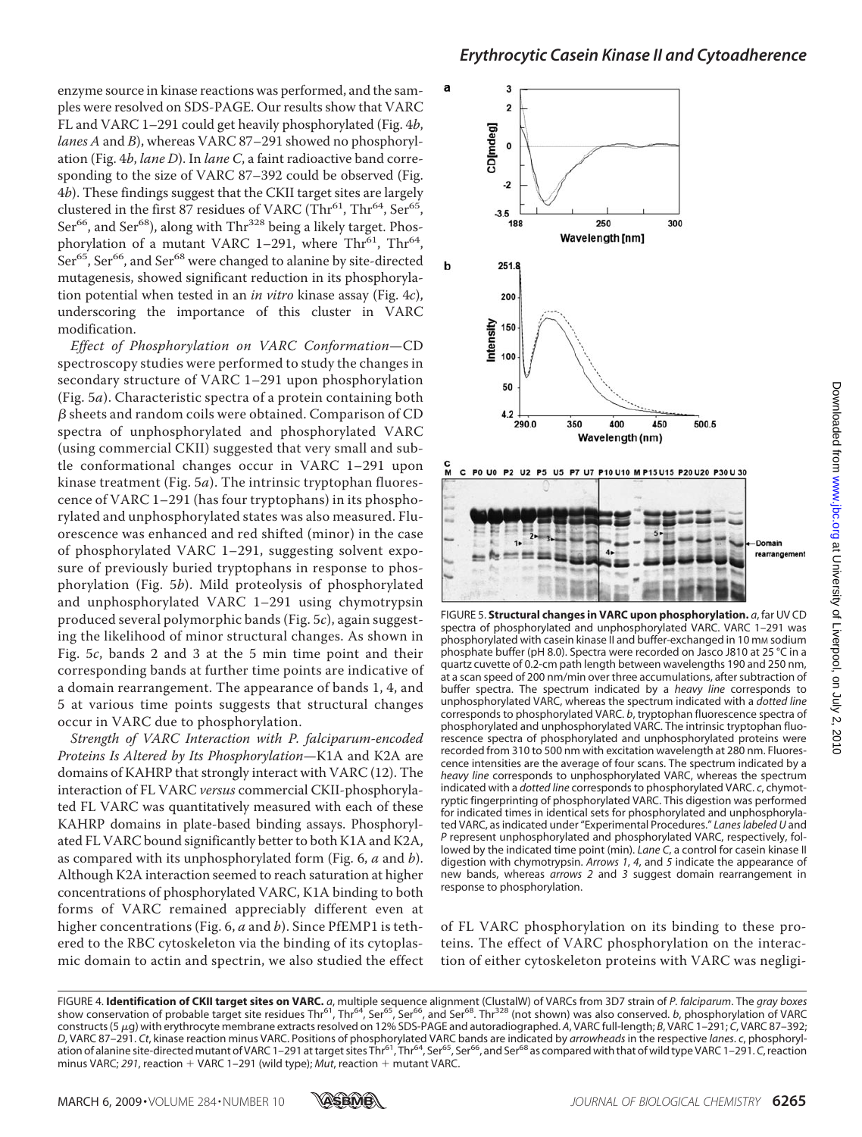enzyme source in kinase reactions was performed, and the samples were resolved on SDS-PAGE. Our results show that VARC FL and VARC 1–291 could get heavily phosphorylated (Fig. 4*b*, *lanes A* and *B*), whereas VARC 87–291 showed no phosphorylation (Fig. 4*b*, *lane D*). In *lane C*, a faint radioactive band corresponding to the size of VARC 87–392 could be observed (Fig. 4*b*). These findings suggest that the CKII target sites are largely clustered in the first 87 residues of VARC (Thr<sup>61</sup>, Thr<sup>64</sup>, Ser<sup>65</sup>, Ser<sup>66</sup>, and Ser<sup>68</sup>), along with Thr<sup>328</sup> being a likely target. Phosphorylation of a mutant VARC 1-291, where Thr<sup>61</sup>, Thr<sup>64</sup>, Ser<sup>65</sup>, Ser<sup>66</sup>, and Ser<sup>68</sup> were changed to alanine by site-directed mutagenesis, showed significant reduction in its phosphorylation potential when tested in an *in vitro* kinase assay (Fig. 4*c*), underscoring the importance of this cluster in VARC modification.

*Effect of Phosphorylation on VARC Conformation*—CD spectroscopy studies were performed to study the changes in secondary structure of VARC 1–291 upon phosphorylation (Fig. 5*a*). Characteristic spectra of a protein containing both  $\beta$  sheets and random coils were obtained. Comparison of CD spectra of unphosphorylated and phosphorylated VARC (using commercial CKII) suggested that very small and subtle conformational changes occur in VARC 1–291 upon kinase treatment (Fig. 5*a*). The intrinsic tryptophan fluorescence of VARC 1–291 (has four tryptophans) in its phosphorylated and unphosphorylated states was also measured. Fluorescence was enhanced and red shifted (minor) in the case of phosphorylated VARC 1–291, suggesting solvent exposure of previously buried tryptophans in response to phosphorylation (Fig. 5*b*). Mild proteolysis of phosphorylated and unphosphorylated VARC 1–291 using chymotrypsin produced several polymorphic bands (Fig. 5*c*), again suggesting the likelihood of minor structural changes. As shown in Fig. 5*c*, bands 2 and 3 at the 5 min time point and their corresponding bands at further time points are indicative of a domain rearrangement. The appearance of bands 1, 4, and 5 at various time points suggests that structural changes occur in VARC due to phosphorylation.

*Strength of VARC Interaction with P. falciparum-encoded Proteins Is Altered by Its Phosphorylation*—K1A and K2A are domains of KAHRP that strongly interact with VARC (12). The interaction of FL VARC *versus* commercial CKII-phosphorylated FL VARC was quantitatively measured with each of these KAHRP domains in plate-based binding assays. Phosphorylated FL VARC bound significantly better to both K1A and K2A, as compared with its unphosphorylated form (Fig. 6, *a* and *b*). Although K2A interaction seemed to reach saturation at higher concentrations of phosphorylated VARC, K1A binding to both forms of VARC remained appreciably different even at higher concentrations (Fig. 6, *a* and *b*). Since PfEMP1 is tethered to the RBC cytoskeleton via the binding of its cytoplasmic domain to actin and spectrin, we also studied the effect



FIGURE 5. **Structural changes in VARC upon phosphorylation.** *a*, far UV CD spectra of phosphorylated and unphosphorylated VARC. VARC 1–291 was phosphorylated with casein kinase II and buffer-exchanged in 10 mm sodium phosphate buffer (pH 8.0). Spectra were recorded on Jasco J810 at 25 °C in a quartz cuvette of 0.2-cm path length between wavelengths 190 and 250 nm, at a scan speed of 200 nm/min over three accumulations, after subtraction of buffer spectra. The spectrum indicated by a *heavy line* corresponds to unphosphorylated VARC, whereas the spectrum indicated with a *dotted line* corresponds to phosphorylated VARC. *b*, tryptophan fluorescence spectra of phosphorylated and unphosphorylated VARC. The intrinsic tryptophan fluorescence spectra of phosphorylated and unphosphorylated proteins were recorded from 310 to 500 nm with excitation wavelength at 280 nm. Fluorescence intensities are the average of four scans. The spectrum indicated by a *heavy line* corresponds to unphosphorylated VARC, whereas the spectrum indicated with a *dotted line* corresponds to phosphorylated VARC. *c*, chymotryptic fingerprinting of phosphorylated VARC. This digestion was performed for indicated times in identical sets for phosphorylated and unphosphorylated VARC, as indicated under "Experimental Procedures." *Lanes labeled U* and *P* represent unphosphorylated and phosphorylated VARC, respectively, followed by the indicated time point (min). *Lane C*, a control for casein kinase II digestion with chymotrypsin. *Arrows 1*, *4*, and *5* indicate the appearance of new bands, whereas *arrows 2* and *3* suggest domain rearrangement in response to phosphorylation.

of FL VARC phosphorylation on its binding to these proteins. The effect of VARC phosphorylation on the interaction of either cytoskeleton proteins with VARC was negligi-



FIGURE 4. **Identification of CKII target sites on VARC.** a, multiple sequence alignment (ClustalW) of VARCs from 3D7 strain of *P. falciparum.* The *gray boxes*<br>show conservation of probable target site residues Thr<sup>61</sup>, T constructs (5g) with erythrocyte membrane extracts resolved on 12% SDS-PAGE and autoradiographed. *A*, VARC full-length; *B*, VARC 1–291; *C*, VARC 87–392; *D*, VARC 87–291. *Ct*, kinase reaction minus VARC. Positions of phosphorylated VARC bands are indicated by *arrowheads* in the respective *lanes*. *c*, phosphorylation of alanine site-directed mutant of VARC 1–291 at target sites Thr<sup>61</sup>, Thr<sup>64</sup>, Ser<sup>65</sup>, Ser<sup>66</sup>, and Ser<sup>68</sup> as compared with that of wild type VARC 1–291. *C*, reaction minus VARC; 291, reaction  $+$  VARC 1-291 (wild type); *Mut*, reaction  $+$  mutant VARC.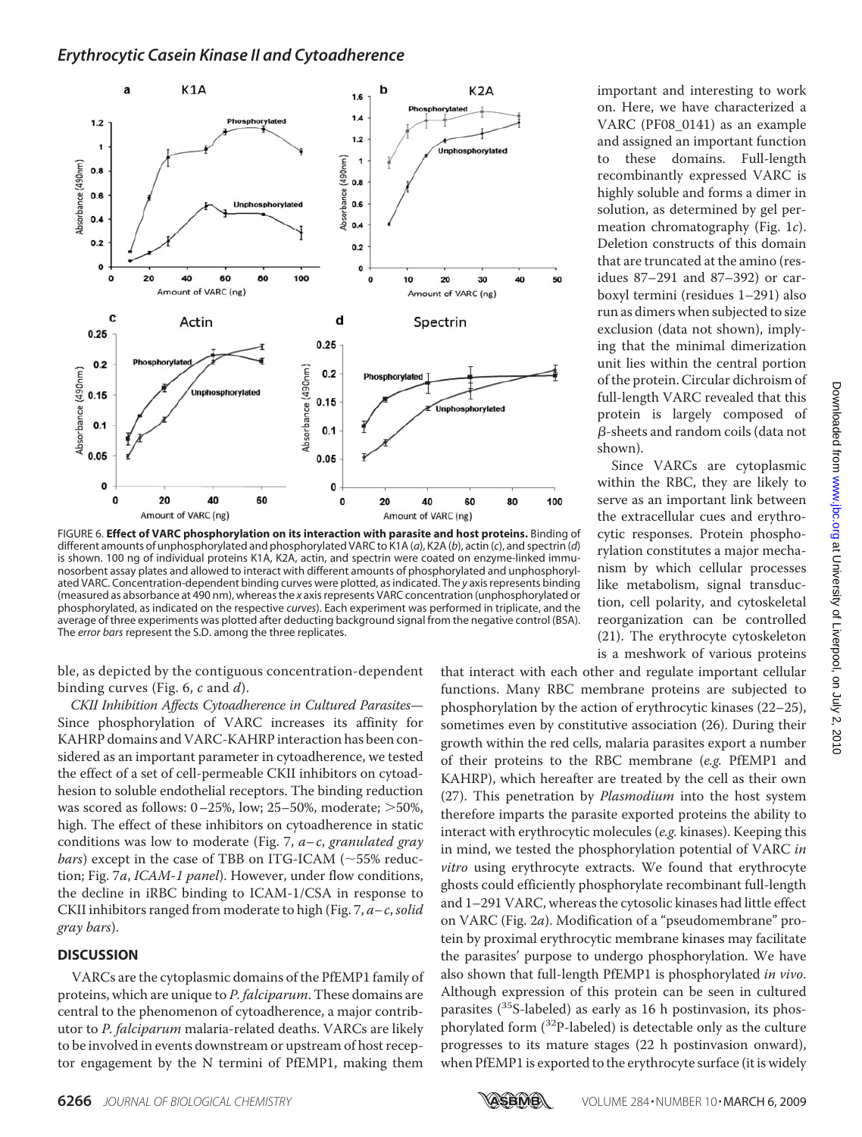

FIGURE 6. **Effect of VARC phosphorylation on its interaction with parasite and host proteins.** Binding of different amounts of unphosphorylated and phosphorylated VARC to K1A (*a*), K2A (*b*), actin (*c*), and spectrin (*d*) is shown. 100 ng of individual proteins K1A, K2A, actin, and spectrin were coated on enzyme-linked immunosorbent assay plates and allowed to interact with different amounts of phosphorylated and unphosphorylated VARC. Concentration-dependent binding curves were plotted, as indicated. The *y* axis represents binding (measured as absorbance at 490 nm), whereas the *x* axis represents VARC concentration (unphosphorylated or phosphorylated, as indicated on the respective *curves*). Each experiment was performed in triplicate, and the average of three experiments was plotted after deducting background signal from the negative control (BSA). The *error bars* represent the S.D. among the three replicates.

ble, as depicted by the contiguous concentration-dependent binding curves (Fig. 6, *c* and *d*).

*CKII Inhibition Affects Cytoadherence in Cultured Parasites*— Since phosphorylation of VARC increases its affinity for KAHRP domains and VARC-KAHRP interaction has been considered as an important parameter in cytoadherence, we tested the effect of a set of cell-permeable CKII inhibitors on cytoadhesion to soluble endothelial receptors. The binding reduction was scored as follows:  $0-25%$ , low;  $25-50%$ , moderate;  $>50%$ , high. The effect of these inhibitors on cytoadherence in static conditions was low to moderate (Fig. 7, *a– c*, *granulated gray bars*) except in the case of TBB on ITG-ICAM ( $\sim$ 55% reduction; Fig. 7*a*, *ICAM-1 panel*). However, under flow conditions, the decline in iRBC binding to ICAM-1/CSA in response to CKII inhibitors ranged from moderate to high (Fig. 7, *a– c*,*solid gray bars*).

### **DISCUSSION**

VARCs are the cytoplasmic domains of the PfEMP1 family of proteins, which are unique to *P. falciparum*. These domains are central to the phenomenon of cytoadherence, a major contributor to *P. falciparum* malaria-related deaths. VARCs are likely to be involved in events downstream or upstream of host receptor engagement by the N termini of PfEMP1, making them

important and interesting to work on. Here, we have characterized a VARC (PF08\_0141) as an example and assigned an important function to these domains. Full-length recombinantly expressed VARC is highly soluble and forms a dimer in solution, as determined by gel permeation chromatography (Fig. 1*c*). Deletion constructs of this domain that are truncated at the amino (residues 87–291 and 87–392) or carboxyl termini (residues 1–291) also run as dimers when subjected to size exclusion (data not shown), implying that the minimal dimerization unit lies within the central portion of the protein. Circular dichroism of full-length VARC revealed that this protein is largely composed of  $\beta$ -sheets and random coils (data not shown).

Since VARCs are cytoplasmic within the RBC, they are likely to serve as an important link between the extracellular cues and erythrocytic responses. Protein phosphorylation constitutes a major mechanism by which cellular processes like metabolism, signal transduction, cell polarity, and cytoskeletal reorganization can be controlled (21). The erythrocyte cytoskeleton is a meshwork of various proteins

that interact with each other and regulate important cellular functions. Many RBC membrane proteins are subjected to phosphorylation by the action of erythrocytic kinases (22–25), sometimes even by constitutive association (26). During their growth within the red cells, malaria parasites export a number of their proteins to the RBC membrane (*e.g.* PfEMP1 and KAHRP), which hereafter are treated by the cell as their own (27). This penetration by *Plasmodium* into the host system therefore imparts the parasite exported proteins the ability to interact with erythrocytic molecules (*e.g.* kinases). Keeping this in mind, we tested the phosphorylation potential of VARC *in vitro* using erythrocyte extracts. We found that erythrocyte ghosts could efficiently phosphorylate recombinant full-length and 1–291 VARC, whereas the cytosolic kinases had little effect on VARC (Fig. 2*a*). Modification of a "pseudomembrane" protein by proximal erythrocytic membrane kinases may facilitate the parasites' purpose to undergo phosphorylation. We have also shown that full-length PfEMP1 is phosphorylated *in vivo*. Although expression of this protein can be seen in cultured parasites (<sup>35</sup>S-labeled) as early as 16 h postinvasion, its phosphorylated form  $(^{32}P$ -labeled) is detectable only as the culture progresses to its mature stages (22 h postinvasion onward), when PfEMP1 is exported to the erythrocyte surface (it is widely

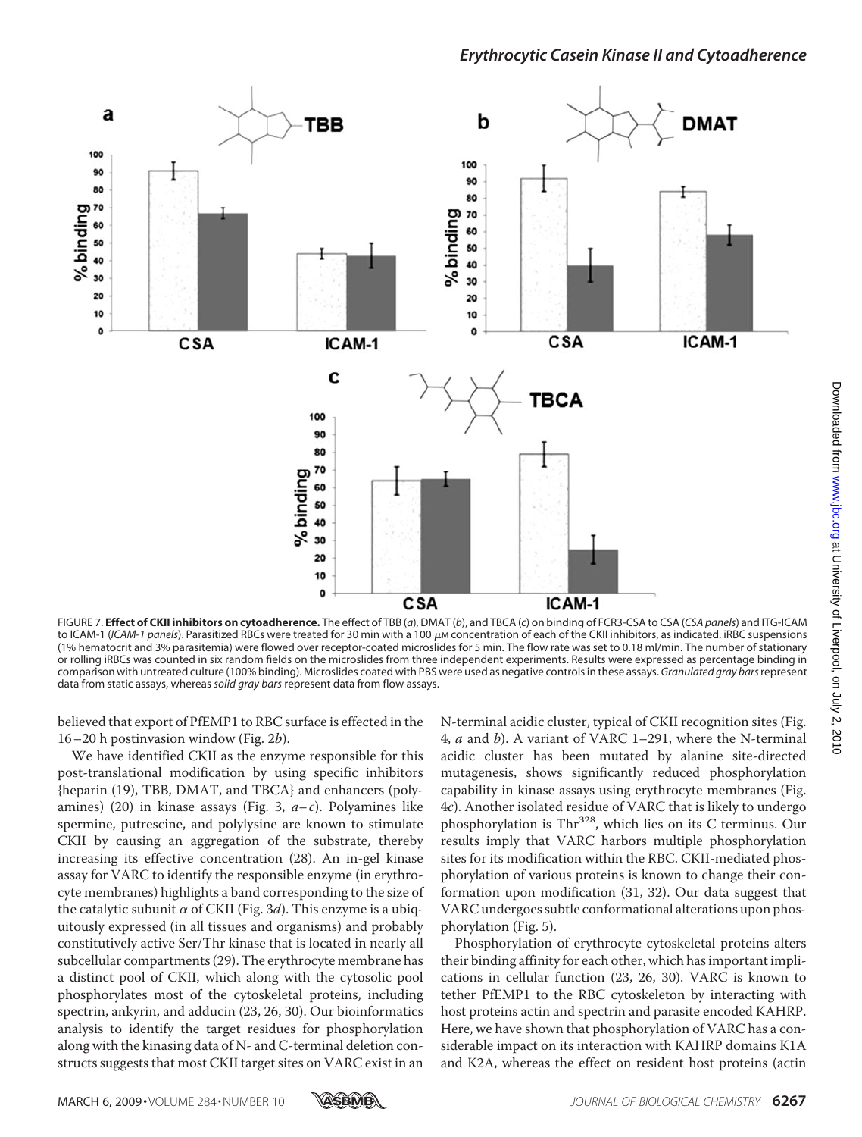

FIGURE 7. **Effect of CKII inhibitors on cytoadherence.** The effect of TBB (*a*), DMAT (*b*), and TBCA (*c*) on binding of FCR3-CSA to CSA (*CSA panels*) and ITG-ICAM to ICAM-1 (ICAM-1 panels). Parasitized RBCs were treated for 30 min with a 100 μ*M* concentration of each of the CKII inhibitors, as indicated. iRBC suspensions (1% hematocrit and 3% parasitemia) were flowed over receptor-coated microslides for 5 min. The flow rate was set to 0.18 ml/min. The number of stationary or rolling iRBCs was counted in six random fields on the microslides from three independent experiments. Results were expressed as percentage binding in comparison with untreated culture (100% binding). Microslides coated with PBS were used as negative controls in these assays. *Granulated gray bars*represent data from static assays, whereas *solid gray bars* represent data from flow assays.

believed that export of PfEMP1 to RBC surface is effected in the 16–20 h postinvasion window (Fig. 2*b*).

We have identified CKII as the enzyme responsible for this post-translational modification by using specific inhibitors {heparin (19), TBB, DMAT, and TBCA} and enhancers (polyamines) (20) in kinase assays (Fig. 3, *a– c*). Polyamines like spermine, putrescine, and polylysine are known to stimulate CKII by causing an aggregation of the substrate, thereby increasing its effective concentration (28). An in-gel kinase assay for VARC to identify the responsible enzyme (in erythrocyte membranes) highlights a band corresponding to the size of the catalytic subunit  $\alpha$  of CKII (Fig. 3d). This enzyme is a ubiquitously expressed (in all tissues and organisms) and probably constitutively active Ser/Thr kinase that is located in nearly all subcellular compartments (29). The erythrocyte membrane has a distinct pool of CKII, which along with the cytosolic pool phosphorylates most of the cytoskeletal proteins, including spectrin, ankyrin, and adducin (23, 26, 30). Our bioinformatics analysis to identify the target residues for phosphorylation along with the kinasing data of N- and C-terminal deletion constructs suggests that most CKII target sites on VARC exist in an

N-terminal acidic cluster, typical of CKII recognition sites (Fig. 4, *a* and *b*). A variant of VARC 1–291, where the N-terminal acidic cluster has been mutated by alanine site-directed mutagenesis, shows significantly reduced phosphorylation capability in kinase assays using erythrocyte membranes (Fig. 4*c*). Another isolated residue of VARC that is likely to undergo phosphorylation is Thr<sup>328</sup>, which lies on its C terminus. Our results imply that VARC harbors multiple phosphorylation sites for its modification within the RBC. CKII-mediated phosphorylation of various proteins is known to change their conformation upon modification (31, 32). Our data suggest that VARC undergoes subtle conformational alterations upon phosphorylation (Fig. 5).

Phosphorylation of erythrocyte cytoskeletal proteins alters their binding affinity for each other, which has important implications in cellular function (23, 26, 30). VARC is known to tether PfEMP1 to the RBC cytoskeleton by interacting with host proteins actin and spectrin and parasite encoded KAHRP. Here, we have shown that phosphorylation of VARC has a considerable impact on its interaction with KAHRP domains K1A and K2A, whereas the effect on resident host proteins (actin

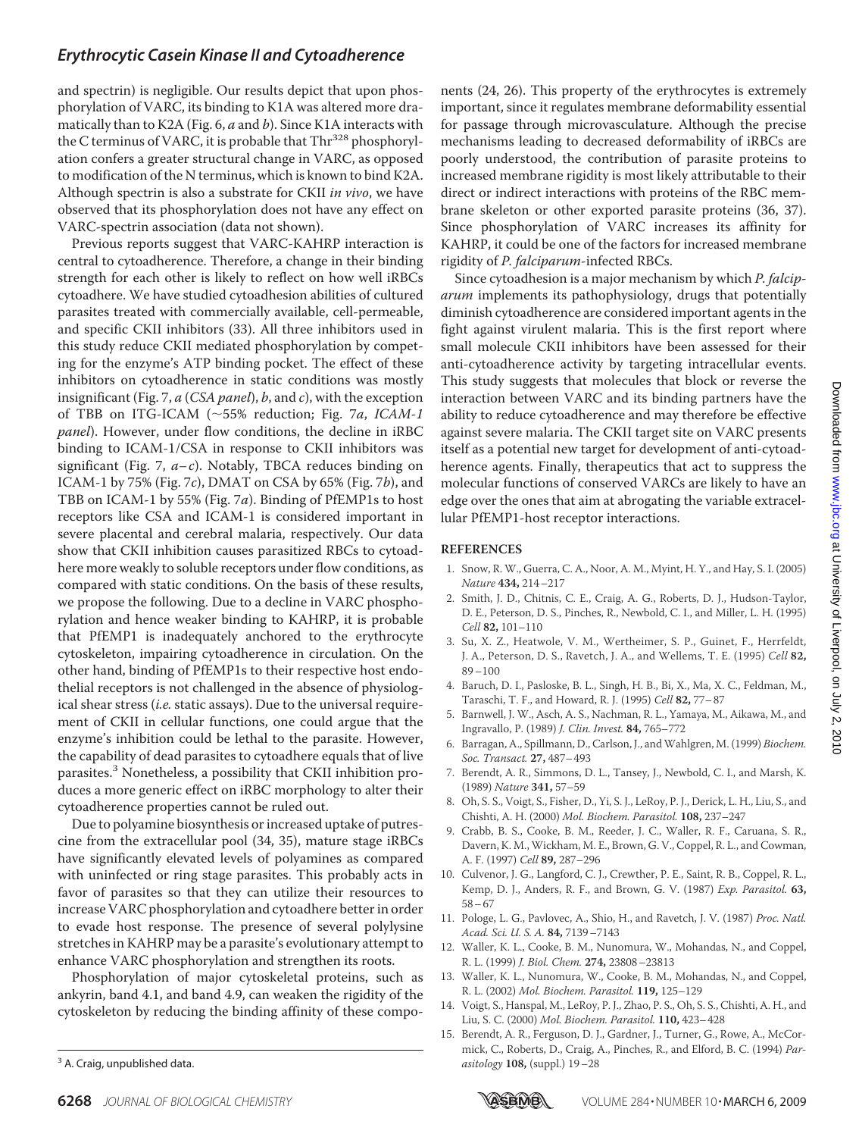and spectrin) is negligible. Our results depict that upon phosphorylation of VARC, its binding to K1A was altered more dramatically than to K2A (Fig. 6, *a* and *b*). Since K1A interacts with the C terminus of VARC, it is probable that Thr<sup>328</sup> phosphorylation confers a greater structural change in VARC, as opposed to modification of the N terminus, which is known to bind K2A. Although spectrin is also a substrate for CKII *in vivo*, we have observed that its phosphorylation does not have any effect on VARC-spectrin association (data not shown).

Previous reports suggest that VARC-KAHRP interaction is central to cytoadherence. Therefore, a change in their binding strength for each other is likely to reflect on how well iRBCs cytoadhere. We have studied cytoadhesion abilities of cultured parasites treated with commercially available, cell-permeable, and specific CKII inhibitors (33). All three inhibitors used in this study reduce CKII mediated phosphorylation by competing for the enzyme's ATP binding pocket. The effect of these inhibitors on cytoadherence in static conditions was mostly insignificant (Fig. 7, *a* (*CSA panel*), *b*, and *c*), with the exception of TBB on ITG-ICAM (55% reduction; Fig. 7*a*, *ICAM-1 panel*). However, under flow conditions, the decline in iRBC binding to ICAM-1/CSA in response to CKII inhibitors was significant (Fig. 7,  $a-c$ ). Notably, TBCA reduces binding on ICAM-1 by 75% (Fig. 7*c*), DMAT on CSA by 65% (Fig. 7*b*), and TBB on ICAM-1 by 55% (Fig. 7*a*). Binding of PfEMP1s to host receptors like CSA and ICAM-1 is considered important in severe placental and cerebral malaria, respectively. Our data show that CKII inhibition causes parasitized RBCs to cytoadhere more weakly to soluble receptors under flow conditions, as compared with static conditions. On the basis of these results, we propose the following. Due to a decline in VARC phosphorylation and hence weaker binding to KAHRP, it is probable that PfEMP1 is inadequately anchored to the erythrocyte cytoskeleton, impairing cytoadherence in circulation. On the other hand, binding of PfEMP1s to their respective host endothelial receptors is not challenged in the absence of physiological shear stress (*i.e.* static assays). Due to the universal requirement of CKII in cellular functions, one could argue that the enzyme's inhibition could be lethal to the parasite. However, the capability of dead parasites to cytoadhere equals that of live parasites.<sup>3</sup> Nonetheless, a possibility that CKII inhibition produces a more generic effect on iRBC morphology to alter their cytoadherence properties cannot be ruled out.

Due to polyamine biosynthesis or increased uptake of putrescine from the extracellular pool (34, 35), mature stage iRBCs have significantly elevated levels of polyamines as compared with uninfected or ring stage parasites. This probably acts in favor of parasites so that they can utilize their resources to increase VARC phosphorylation and cytoadhere better in order to evade host response. The presence of several polylysine stretches in KAHRP may be a parasite's evolutionary attempt to enhance VARC phosphorylation and strengthen its roots.

Phosphorylation of major cytoskeletal proteins, such as ankyrin, band 4.1, and band 4.9, can weaken the rigidity of the cytoskeleton by reducing the binding affinity of these components (24, 26). This property of the erythrocytes is extremely important, since it regulates membrane deformability essential for passage through microvasculature. Although the precise mechanisms leading to decreased deformability of iRBCs are poorly understood, the contribution of parasite proteins to increased membrane rigidity is most likely attributable to their direct or indirect interactions with proteins of the RBC membrane skeleton or other exported parasite proteins (36, 37). Since phosphorylation of VARC increases its affinity for KAHRP, it could be one of the factors for increased membrane rigidity of *P. falciparum*-infected RBCs.

Since cytoadhesion is a major mechanism by which *P. falciparum* implements its pathophysiology, drugs that potentially diminish cytoadherence are considered important agents in the fight against virulent malaria. This is the first report where small molecule CKII inhibitors have been assessed for their anti-cytoadherence activity by targeting intracellular events. This study suggests that molecules that block or reverse the interaction between VARC and its binding partners have the ability to reduce cytoadherence and may therefore be effective against severe malaria. The CKII target site on VARC presents itself as a potential new target for development of anti-cytoadherence agents. Finally, therapeutics that act to suppress the molecular functions of conserved VARCs are likely to have an edge over the ones that aim at abrogating the variable extracellular PfEMP1-host receptor interactions.

#### **REFERENCES**

- 1. Snow, R. W., Guerra, C. A., Noor, A. M., Myint, H. Y., and Hay, S. I. (2005) *Nature* **434,** 214–217
- 2. Smith, J. D., Chitnis, C. E., Craig, A. G., Roberts, D. J., Hudson-Taylor, D. E., Peterson, D. S., Pinches, R., Newbold, C. I., and Miller, L. H. (1995) *Cell* **82,** 101–110
- 3. Su, X. Z., Heatwole, V. M., Wertheimer, S. P., Guinet, F., Herrfeldt, J. A., Peterson, D. S., Ravetch, J. A., and Wellems, T. E. (1995) *Cell* **82,** 89–100
- 4. Baruch, D. I., Pasloske, B. L., Singh, H. B., Bi, X., Ma, X. C., Feldman, M., Taraschi, T. F., and Howard, R. J. (1995) *Cell* **82,** 77–87
- 5. Barnwell, J. W., Asch, A. S., Nachman, R. L., Yamaya, M., Aikawa, M., and Ingravallo, P. (1989) *J. Clin. Invest.* **84,** 765–772
- 6. Barragan, A., Spillmann, D., Carlson, J., andWahlgren, M. (1999) *Biochem. Soc. Transact.* **27,** 487–493
- 7. Berendt, A. R., Simmons, D. L., Tansey, J., Newbold, C. I., and Marsh, K. (1989) *Nature* **341,** 57–59
- 8. Oh, S. S., Voigt, S., Fisher, D., Yi, S. J., LeRoy, P. J., Derick, L. H., Liu, S., and Chishti, A. H. (2000) *Mol. Biochem. Parasitol.* **108,** 237–247
- 9. Crabb, B. S., Cooke, B. M., Reeder, J. C., Waller, R. F., Caruana, S. R., Davern, K. M., Wickham, M. E., Brown, G. V., Coppel, R. L., and Cowman, A. F. (1997) *Cell* **89,** 287–296
- 10. Culvenor, J. G., Langford, C. J., Crewther, P. E., Saint, R. B., Coppel, R. L., Kemp, D. J., Anders, R. F., and Brown, G. V. (1987) *Exp. Parasitol.* **63,** 58–67
- 11. Pologe, L. G., Pavlovec, A., Shio, H., and Ravetch, J. V. (1987) *Proc. Natl. Acad. Sci. U. S. A.* **84,** 7139–7143
- 12. Waller, K. L., Cooke, B. M., Nunomura, W., Mohandas, N., and Coppel, R. L. (1999) *J. Biol. Chem.* **274,** 23808–23813
- 13. Waller, K. L., Nunomura, W., Cooke, B. M., Mohandas, N., and Coppel, R. L. (2002) *Mol. Biochem. Parasitol.* **119,** 125–129
- 14. Voigt, S., Hanspal, M., LeRoy, P. J., Zhao, P. S., Oh, S. S., Chishti, A. H., and Liu, S. C. (2000) *Mol. Biochem. Parasitol.* **110,** 423–428
- 15. Berendt, A. R., Ferguson, D. J., Gardner, J., Turner, G., Rowe, A., McCormick, C., Roberts, D., Craig, A., Pinches, R., and Elford, B. C. (1994) *Par-*<sup>3</sup> A. Craig, unpublished data.  $asifology$  **108**, (suppl.) 19–28